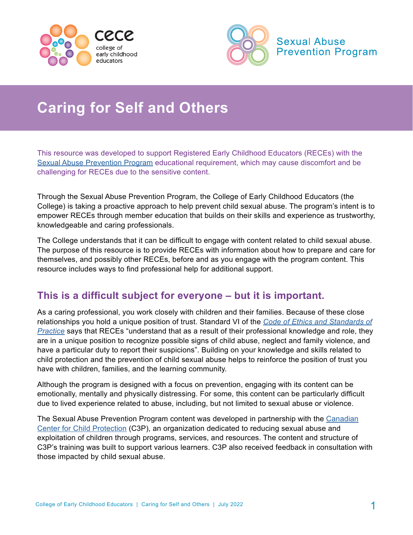



# **Caring for Self and Others**

This resource was developed to support Registered Early Childhood Educators (RECEs) with the [Sexual Abuse Prevention Program](https://www.college-ece.ca/members/sexual-abuse-prevention-program/) educational requirement, which may cause discomfort and be challenging for RECEs due to the sensitive content.

Through the Sexual Abuse Prevention Program, the College of Early Childhood Educators (the College) is taking a proactive approach to help prevent child sexual abuse. The program's intent is to empower RECEs through member education that builds on their skills and experience as trustworthy, knowledgeable and caring professionals.

The College understands that it can be difficult to engage with content related to child sexual abuse. The purpose of this resource is to provide RECEs with information about how to prepare and care for themselves, and possibly other RECEs, before and as you engage with the program content. This resource includes ways to find professional help for additional support.

## **This is a difficult subject for everyone – but it is important.**

As a caring professional, you work closely with children and their families. Because of these close relationships you hold a unique position of trust. Standard VI of the *[Code of Ethics and Standards of](https://www.college-ece.ca/wp-content/uploads/2021/10/Code_and_Standards_2017-4.pdf) [Practice](https://www.college-ece.ca/wp-content/uploads/2021/10/Code_and_Standards_2017-4.pdf)* says that RECEs "understand that as a result of their professional knowledge and role, they are in a unique position to recognize possible signs of child abuse, neglect and family violence, and have a particular duty to report their suspicions". Building on your knowledge and skills related to child protection and the prevention of child sexual abuse helps to reinforce the position of trust you have with children, families, and the learning community.

Although the program is designed with a focus on prevention, engaging with its content can be emotionally, mentally and physically distressing. For some, this content can be particularly difficult due to lived experience related to abuse, including, but not limited to sexual abuse or violence.

The Sexual Abuse Prevention Program content was developed in partnership with the [Canadian](https://www.protectchildren.ca/en/) [Center for Child Protection](https://www.protectchildren.ca/en/) (C3P), an organization dedicated to reducing sexual abuse and exploitation of children through programs, services, and resources. The content and structure of C3P's training was built to support various learners. C3P also received feedback in consultation with those impacted by child sexual abuse.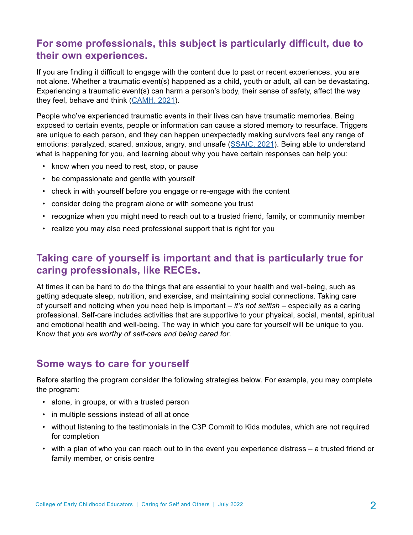# **For some professionals, this subject is particularly difficult, due to their own experiences.**

If you are finding it difficult to engage with the content due to past or recent experiences, you are not alone. Whether a traumatic event(s) happened as a child, youth or adult, all can be devastating. Experiencing a traumatic event(s) can harm a person's body, their sense of safety, affect the way they feel, behave and think [\(CAMH, 2021](https://www.camh.ca/en/health-info/mental-illness-and-addiction-index/trauma)).

People who've experienced traumatic events in their lives can have traumatic memories. Being exposed to certain events, people or information can cause a stored memory to resurface. Triggers are unique to each person, and they can happen unexpectedly making survivors feel any range of emotions: paralyzed, scared, anxious, angry, and unsafe ([SSAIC, 2021\)](https://ssaic.ca/wp-content/uploads/2020/03/Triggers.docx.pdf). Being able to understand what is happening for you, and learning about why you have certain responses can help you:

- know when you need to rest, stop, or pause
- be compassionate and gentle with yourself
- check in with yourself before you engage or re-engage with the content
- consider doing the program alone or with someone you trust
- recognize when you might need to reach out to a trusted friend, family, or community member
- realize you may also need professional support that is right for you

## **Taking care of yourself is important and that is particularly true for caring professionals, like RECEs.**

At times it can be hard to do the things that are essential to your health and well-being, such as getting adequate sleep, nutrition, and exercise, and maintaining social connections. Taking care of yourself and noticing when you need help is important – *it's not selfish* – especially as a caring professional. Self-care includes activities that are supportive to your physical, social, mental, spiritual and emotional health and well-being. The way in which you care for yourself will be unique to you. Know that *you are worthy of self-care and being cared for*.

## **Some ways to care for yourself**

Before starting the program consider the following strategies below. For example, you may complete the program:

- alone, in groups, or with a trusted person
- in multiple sessions instead of all at once
- without listening to the testimonials in the C3P Commit to Kids modules, which are not required for completion
- with a plan of who you can reach out to in the event you experience distress a trusted friend or family member, or crisis centre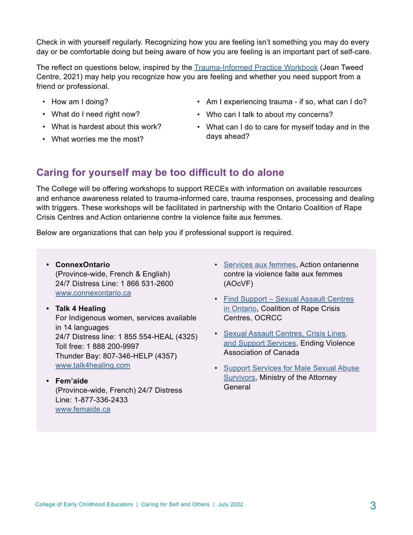Check in with yourself regularly. Recognizing how you are feeling isn't something you may do every day or be comfortable doing but being aware of how you are feeling is an important part of self-care.

The reflect on questions below, inspired by the [Trauma-Informed Practice Workbook](https://jeantweed.com/wp-content/uploads/2021/12/Trauma-Informed-Practice-Workbook-October-21.pdf) (Jean Tweed Centre, 2021) may help you recognize how you are feeling and whether you need support from a friend or professional.

- How am I doing?
- What do I need right now?
- What is hardest about this work?
- What worries me the most?
- Am I experiencing trauma if so, what can I do?
- Who can I talk to about my concerns?
- What can I do to care for myself today and in the days ahead?

## **Caring for yourself may be too difficult to do alone**

The College will be offering workshops to support RECEs with information on available resources and enhance awareness related to trauma-informed care, trauma responses, processing and dealing with triggers. These workshops will be facilitated in partnership with the Ontario Coalition of Rape Crisis Centres and Action ontarienne contre la violence faite aux femmes.

Below are organizations that can help you if professional support is required.

**• ConnexOntario** (Province-wide, French & English) 24/7 Distress Line: 1 866 531-2600 [www.connexontario.ca](https://www.connexontario.ca/en-ca/)

### **• Talk 4 Healing**

For Indigenous women, services available in 14 languages 24/7 Distress line: 1 855 554-HEAL (4325) Toll free: 1 888 200-9997 Thunder Bay: 807-346-HELP (4357) [www.talk4healing.com](http://www.talk4healing.com/)

### **• Fem'aide**

(Province-wide, French) 24/7 Distress Line: 1-877-336-2433 [www.femaide.ca](https://femaide.ca/)

- [Services aux femmes](https://aocvf.ca/services-aux-femmes/), Action ontarienne contre la violence faite aux femmes (AOcVF)
- [Find Support Sexual Assault Centres](https://sexualassaultsupport.ca/support/) [in Ontario,](https://sexualassaultsupport.ca/support/) Coalition of Rape Crisis Centres, OCRCC
- [Sexual Assault Centres, Crisis Lines,](https://endingviolencecanada.org/sexual-assault-centres-crisis-lines-and-support-services/)  [and Support Services](https://endingviolencecanada.org/sexual-assault-centres-crisis-lines-and-support-services/), Ending Violence Association of Canada
- [Support Services for Male Sexual Abuse](https://www.ontario.ca/page/get-help-if-you-are-experiencing-violence) [Survivors,](https://www.ontario.ca/page/get-help-if-you-are-experiencing-violence) Ministry of the Attorney **General**